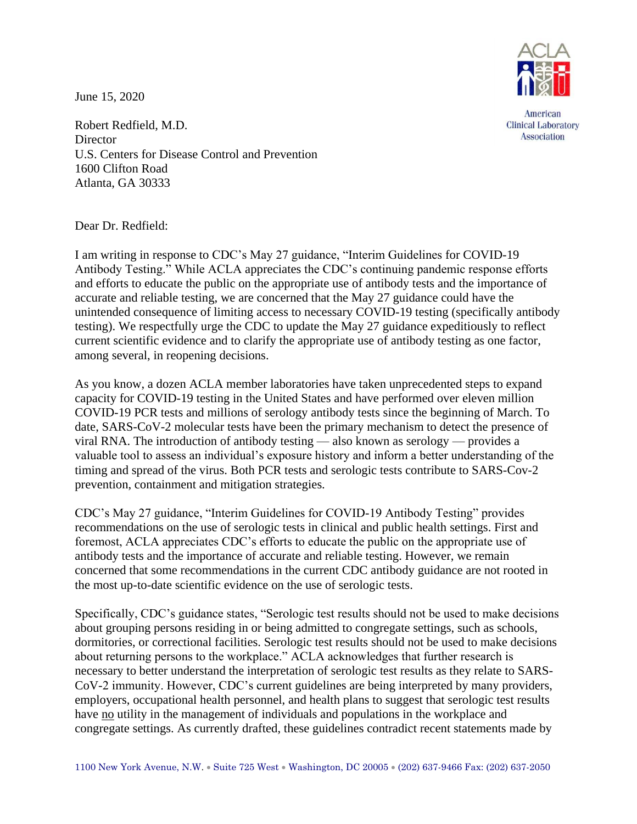June 15, 2020



American **Clinical Laboratory Association** 

Robert Redfield, M.D. **Director** U.S. Centers for Disease Control and Prevention 1600 Clifton Road Atlanta, GA 30333

Dear Dr. Redfield:

I am writing in response to CDC's May 27 guidance, "Interim Guidelines for COVID-19 Antibody Testing." While ACLA appreciates the CDC's continuing pandemic response efforts and efforts to educate the public on the appropriate use of antibody tests and the importance of accurate and reliable testing, we are concerned that the May 27 guidance could have the unintended consequence of limiting access to necessary COVID-19 testing (specifically antibody testing). We respectfully urge the CDC to update the May 27 guidance expeditiously to reflect current scientific evidence and to clarify the appropriate use of antibody testing as one factor, among several, in reopening decisions.

As you know, a dozen ACLA member laboratories have taken unprecedented steps to expand capacity for COVID-19 testing in the United States and have performed over eleven million COVID-19 PCR tests and millions of serology antibody tests since the beginning of March. To date, SARS-CoV-2 molecular tests have been the primary mechanism to detect the presence of viral RNA. The introduction of antibody testing — also known as serology — provides a valuable tool to assess an individual's exposure history and inform a better understanding of the timing and spread of the virus. Both PCR tests and serologic tests contribute to SARS-Cov-2 prevention, containment and mitigation strategies.

CDC's May 27 guidance, "Interim Guidelines for COVID-19 Antibody Testing" provides recommendations on the use of serologic tests in clinical and public health settings. First and foremost, ACLA appreciates CDC's efforts to educate the public on the appropriate use of antibody tests and the importance of accurate and reliable testing. However, we remain concerned that some recommendations in the current CDC antibody guidance are not rooted in the most up-to-date scientific evidence on the use of serologic tests.

Specifically, CDC's guidance states, "Serologic test results should not be used to make decisions about grouping persons residing in or being admitted to congregate settings, such as schools, dormitories, or correctional facilities. Serologic test results should not be used to make decisions about returning persons to the workplace." ACLA acknowledges that further research is necessary to better understand the interpretation of serologic test results as they relate to SARS-CoV-2 immunity. However, CDC's current guidelines are being interpreted by many providers, employers, occupational health personnel, and health plans to suggest that serologic test results have no utility in the management of individuals and populations in the workplace and congregate settings. As currently drafted, these guidelines contradict recent statements made by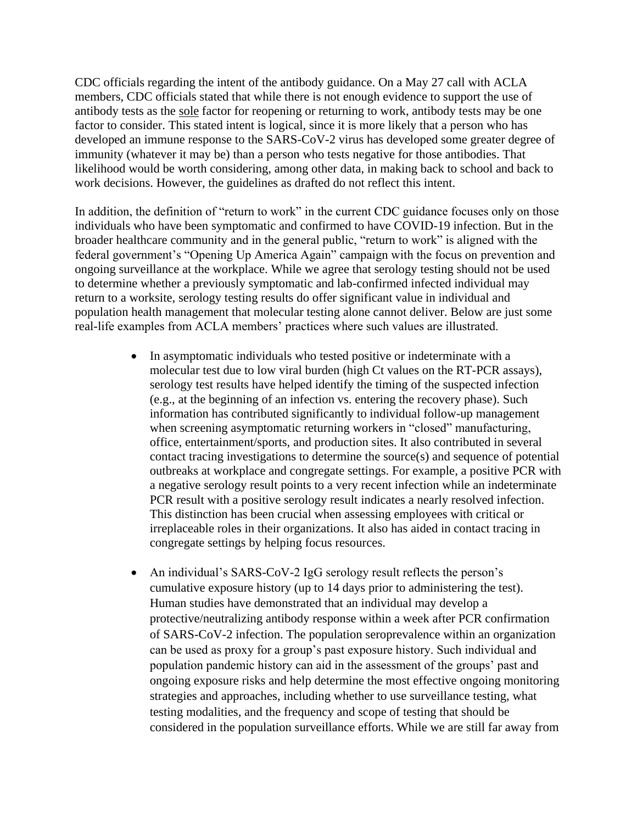CDC officials regarding the intent of the antibody guidance. On a May 27 call with ACLA members, CDC officials stated that while there is not enough evidence to support the use of antibody tests as the sole factor for reopening or returning to work, antibody tests may be one factor to consider. This stated intent is logical, since it is more likely that a person who has developed an immune response to the SARS-CoV-2 virus has developed some greater degree of immunity (whatever it may be) than a person who tests negative for those antibodies. That likelihood would be worth considering, among other data, in making back to school and back to work decisions. However, the guidelines as drafted do not reflect this intent.

In addition, the definition of "return to work" in the current CDC guidance focuses only on those individuals who have been symptomatic and confirmed to have COVID-19 infection. But in the broader healthcare community and in the general public, "return to work" is aligned with the federal government's "Opening Up America Again" campaign with the focus on prevention and ongoing surveillance at the workplace. While we agree that serology testing should not be used to determine whether a previously symptomatic and lab-confirmed infected individual may return to a worksite, serology testing results do offer significant value in individual and population health management that molecular testing alone cannot deliver. Below are just some real-life examples from ACLA members' practices where such values are illustrated.

- In asymptomatic individuals who tested positive or indeterminate with a molecular test due to low viral burden (high Ct values on the RT-PCR assays), serology test results have helped identify the timing of the suspected infection (e.g., at the beginning of an infection vs. entering the recovery phase). Such information has contributed significantly to individual follow-up management when screening asymptomatic returning workers in "closed" manufacturing, office, entertainment/sports, and production sites. It also contributed in several contact tracing investigations to determine the source(s) and sequence of potential outbreaks at workplace and congregate settings. For example, a positive PCR with a negative serology result points to a very recent infection while an indeterminate PCR result with a positive serology result indicates a nearly resolved infection. This distinction has been crucial when assessing employees with critical or irreplaceable roles in their organizations. It also has aided in contact tracing in congregate settings by helping focus resources.
- An individual's SARS-CoV-2 IgG serology result reflects the person's cumulative exposure history (up to 14 days prior to administering the test). Human studies have demonstrated that an individual may develop a protective/neutralizing antibody response within a week after PCR confirmation of SARS-CoV-2 infection. The population seroprevalence within an organization can be used as proxy for a group's past exposure history. Such individual and population pandemic history can aid in the assessment of the groups' past and ongoing exposure risks and help determine the most effective ongoing monitoring strategies and approaches, including whether to use surveillance testing, what testing modalities, and the frequency and scope of testing that should be considered in the population surveillance efforts. While we are still far away from